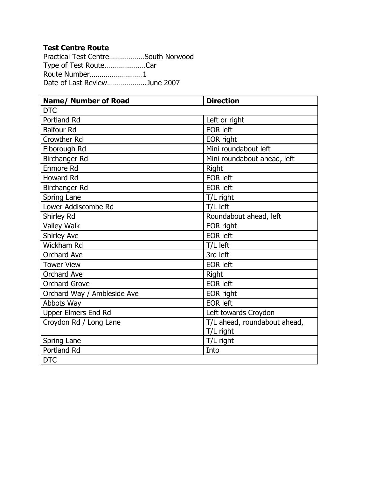Practical Test Centre………………South Norwood Type of Test Route…………………Car Route Number………………………1 Date of Last Review………………..June 2007

| <b>Name/ Number of Road</b> | <b>Direction</b>             |
|-----------------------------|------------------------------|
| <b>DTC</b>                  |                              |
| Portland Rd                 | Left or right                |
| <b>Balfour Rd</b>           | <b>EOR left</b>              |
| <b>Crowther Rd</b>          | EOR right                    |
| Elborough Rd                | Mini roundabout left         |
| Birchanger Rd               | Mini roundabout ahead, left  |
| Enmore Rd                   | Right                        |
| <b>Howard Rd</b>            | <b>EOR left</b>              |
| Birchanger Rd               | <b>EOR left</b>              |
| Spring Lane                 | T/L right                    |
| Lower Addiscombe Rd         | T/L left                     |
| Shirley Rd                  | Roundabout ahead, left       |
| <b>Valley Walk</b>          | EOR right                    |
| <b>Shirley Ave</b>          | <b>EOR left</b>              |
| Wickham Rd                  | T/L left                     |
| <b>Orchard Ave</b>          | 3rd left                     |
| <b>Tower View</b>           | <b>EOR left</b>              |
| <b>Orchard Ave</b>          | <b>Right</b>                 |
| <b>Orchard Grove</b>        | <b>EOR left</b>              |
| Orchard Way / Ambleside Ave | EOR right                    |
| Abbots Way                  | <b>EOR left</b>              |
| <b>Upper Elmers End Rd</b>  | Left towards Croydon         |
| Croydon Rd / Long Lane      | T/L ahead, roundabout ahead, |
|                             | T/L right                    |
| Spring Lane                 | T/L right                    |
| Portland Rd                 | Into                         |
| <b>DTC</b>                  |                              |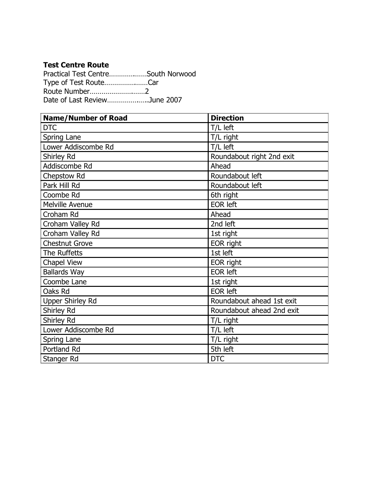Practical Test Centre………….……South Norwood Type of Test Route…………….……Car Route Number………………….……2 Date of Last Review…………….…..June 2007

| <b>Name/Number of Road</b> | <b>Direction</b>          |
|----------------------------|---------------------------|
| <b>DTC</b>                 | T/L left                  |
| Spring Lane                | T/L right                 |
| Lower Addiscombe Rd        | T/L left                  |
| Shirley Rd                 | Roundabout right 2nd exit |
| Addiscombe Rd              | Ahead                     |
| Chepstow Rd                | Roundabout left           |
| Park Hill Rd               | Roundabout left           |
| Coombe Rd                  | 6th right                 |
| <b>Melville Avenue</b>     | <b>EOR left</b>           |
| Croham Rd                  | Ahead                     |
| Croham Valley Rd           | 2nd left                  |
| Croham Valley Rd           | 1st right                 |
| <b>Chestnut Grove</b>      | EOR right                 |
| The Ruffetts               | 1st left                  |
| <b>Chapel View</b>         | EOR right                 |
| <b>Ballards Way</b>        | <b>EOR left</b>           |
| Coombe Lane                | 1st right                 |
| Oaks Rd                    | <b>EOR left</b>           |
| <b>Upper Shirley Rd</b>    | Roundabout ahead 1st exit |
| Shirley Rd                 | Roundabout ahead 2nd exit |
| Shirley Rd                 | T/L right                 |
| Lower Addiscombe Rd        | T/L left                  |
| Spring Lane                | T/L right                 |
| Portland Rd                | 5th left                  |
| Stanger Rd                 | <b>DTC</b>                |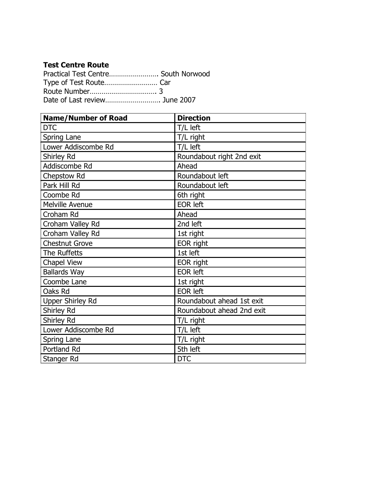| Practical Test Centre South Norwood |  |
|-------------------------------------|--|
|                                     |  |
|                                     |  |
|                                     |  |

| <b>Name/Number of Road</b> | <b>Direction</b>          |
|----------------------------|---------------------------|
| <b>DTC</b>                 | T/L left                  |
| Spring Lane                | T/L right                 |
| Lower Addiscombe Rd        | T/L left                  |
| Shirley Rd                 | Roundabout right 2nd exit |
| Addiscombe Rd              | Ahead                     |
| Chepstow Rd                | Roundabout left           |
| Park Hill Rd               | Roundabout left           |
| Coombe Rd                  | 6th right                 |
| Melville Avenue            | <b>EOR left</b>           |
| Croham Rd                  | Ahead                     |
| Croham Valley Rd           | 2nd left                  |
| Croham Valley Rd           | 1st right                 |
| <b>Chestnut Grove</b>      | EOR right                 |
| The Ruffetts               | 1st left                  |
| <b>Chapel View</b>         | EOR right                 |
| <b>Ballards Way</b>        | <b>EOR left</b>           |
| Coombe Lane                | 1st right                 |
| Oaks Rd                    | <b>EOR left</b>           |
| <b>Upper Shirley Rd</b>    | Roundabout ahead 1st exit |
| Shirley Rd                 | Roundabout ahead 2nd exit |
| Shirley Rd                 | T/L right                 |
| Lower Addiscombe Rd        | T/L left                  |
| Spring Lane                | T/L right                 |
| Portland Rd                | 5th left                  |
| Stanger Rd                 | <b>DTC</b>                |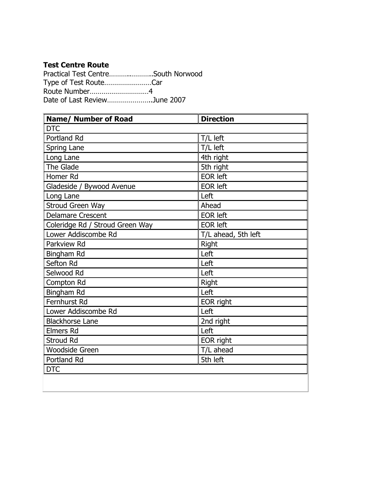Practical Test Centre………..………..South Norwood Type of Test Route……………………Car Route Number…………………………4 Date of Last Review…………………..June 2007

| <b>Name/ Number of Road</b>     | <b>Direction</b>    |
|---------------------------------|---------------------|
| <b>DTC</b>                      |                     |
| Portland Rd                     | T/L left            |
| Spring Lane                     | T/L left            |
| Long Lane                       | 4th right           |
| The Glade                       | 5th right           |
| Homer Rd                        | <b>EOR left</b>     |
| Gladeside / Bywood Avenue       | <b>EOR left</b>     |
| Long Lane                       | Left                |
| Stroud Green Way                | Ahead               |
| <b>Delamare Crescent</b>        | <b>EOR left</b>     |
| Coleridge Rd / Stroud Green Way | <b>EOR left</b>     |
| Lower Addiscombe Rd             | T/L ahead, 5th left |
| Parkview Rd                     | <b>Right</b>        |
| Bingham Rd                      | Left                |
| Sefton Rd                       | Left                |
| Selwood Rd                      | Left                |
| Compton Rd                      | <b>Right</b>        |
| <b>Bingham Rd</b>               | Left                |
| Fernhurst Rd                    | EOR right           |
| Lower Addiscombe Rd             | Left                |
| <b>Blackhorse Lane</b>          | 2nd right           |
| <b>Elmers Rd</b>                | Left                |
| <b>Stroud Rd</b>                | EOR right           |
| <b>Woodside Green</b>           | T/L ahead           |
| <b>Portland Rd</b>              | 5th left            |
| <b>DTC</b>                      |                     |
|                                 |                     |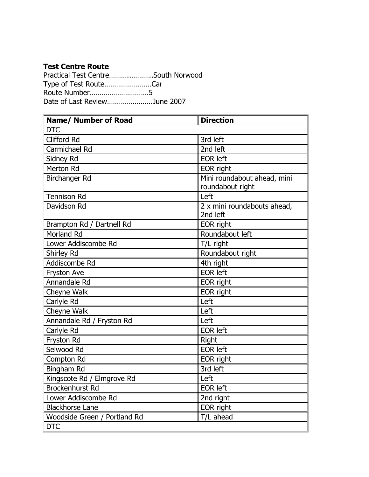| Practical Test CentreSouth Norwood |  |
|------------------------------------|--|
| Type of Test RouteCar              |  |
|                                    |  |
| Date of Last ReviewJune 2007       |  |

| <b>Name/ Number of Road</b>  | <b>Direction</b>            |
|------------------------------|-----------------------------|
| <b>DTC</b>                   |                             |
| <b>Clifford Rd</b>           | 3rd left                    |
| Carmichael Rd                | 2nd left                    |
| Sidney Rd                    | <b>EOR left</b>             |
| <b>Merton Rd</b>             | <b>EOR</b> right            |
| Birchanger Rd                | Mini roundabout ahead, mini |
|                              | roundabout right            |
| <b>Tennison Rd</b>           | Left                        |
| Davidson Rd                  | 2 x mini roundabouts ahead, |
|                              | 2nd left                    |
| Brampton Rd / Dartnell Rd    | EOR right                   |
| <b>Morland Rd</b>            | Roundabout left             |
| Lower Addiscombe Rd          | T/L right                   |
| Shirley Rd                   | Roundabout right            |
| Addiscombe Rd                | 4th right                   |
| Fryston Ave                  | <b>EOR left</b>             |
| Annandale Rd                 | EOR right                   |
| Cheyne Walk                  | EOR right                   |
| Carlyle Rd                   | Left                        |
| Cheyne Walk                  | Left                        |
| Annandale Rd / Fryston Rd    | Left                        |
| Carlyle Rd                   | <b>EOR left</b>             |
| Fryston Rd                   | <b>Right</b>                |
| Selwood Rd                   | <b>EOR left</b>             |
| Compton Rd                   | EOR right                   |
| Bingham Rd                   | 3rd left                    |
| Kingscote Rd / Elmgrove Rd   | Left                        |
| <b>Brockenhurst Rd</b>       | <b>EOR left</b>             |
| Lower Addiscombe Rd          | 2nd right                   |
| <b>Blackhorse Lane</b>       | EOR right                   |
| Woodside Green / Portland Rd | T/L ahead                   |
| <b>DTC</b>                   |                             |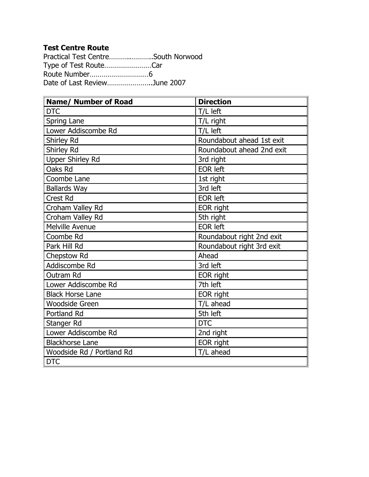Practical Test Centre………..………..South Norwood Type of Test Route……………………Car Route Number…………………………6 Date of Last Review…………………..June 2007

| <b>Name/ Number of Road</b> | <b>Direction</b>          |
|-----------------------------|---------------------------|
| <b>DTC</b>                  | T/L left                  |
| Spring Lane                 | T/L right                 |
| Lower Addiscombe Rd         | T/L left                  |
| Shirley Rd                  | Roundabout ahead 1st exit |
| Shirley Rd                  | Roundabout ahead 2nd exit |
| <b>Upper Shirley Rd</b>     | 3rd right                 |
| Oaks Rd                     | <b>EOR</b> left           |
| Coombe Lane                 | 1st right                 |
| <b>Ballards Way</b>         | 3rd left                  |
| <b>Crest Rd</b>             | <b>EOR left</b>           |
| Croham Valley Rd            | EOR right                 |
| Croham Valley Rd            | 5th right                 |
| <b>Melville Avenue</b>      | <b>EOR left</b>           |
| Coombe Rd                   | Roundabout right 2nd exit |
| Park Hill Rd                | Roundabout right 3rd exit |
| Chepstow Rd                 | Ahead                     |
| Addiscombe Rd               | 3rd left                  |
| Outram Rd                   | EOR right                 |
| Lower Addiscombe Rd         | 7th left                  |
| <b>Black Horse Lane</b>     | EOR right                 |
| <b>Woodside Green</b>       | T/L ahead                 |
| Portland Rd                 | 5th left                  |
| Stanger Rd                  | <b>DTC</b>                |
| Lower Addiscombe Rd         | 2nd right                 |
| <b>Blackhorse Lane</b>      | EOR right                 |
| Woodside Rd / Portland Rd   | T/L ahead                 |
| <b>DTC</b>                  |                           |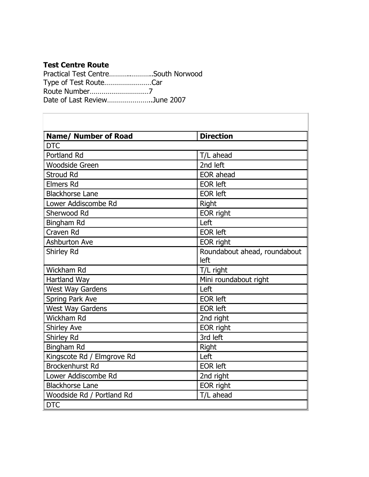Practical Test Centre………..………..South Norwood Type of Test Route……………………Car Route Number…………………………7 Date of Last Review…………………..June 2007

| <b>Name/ Number of Road</b> | <b>Direction</b>                     |
|-----------------------------|--------------------------------------|
| <b>DTC</b>                  |                                      |
| Portland Rd                 | T/L ahead                            |
| <b>Woodside Green</b>       | 2nd left                             |
| <b>Stroud Rd</b>            | <b>EOR</b> ahead                     |
| <b>Elmers Rd</b>            | <b>EOR</b> left                      |
| <b>Blackhorse Lane</b>      | <b>EOR left</b>                      |
| Lower Addiscombe Rd         | Right                                |
| Sherwood Rd                 | EOR right                            |
| <b>Bingham Rd</b>           | Left                                 |
| Craven Rd                   | <b>EOR left</b>                      |
| <b>Ashburton Ave</b>        | EOR right                            |
| Shirley Rd                  | Roundabout ahead, roundabout<br>left |
| Wickham Rd                  | T/L right                            |
| Hartland Way                | Mini roundabout right                |
| <b>West Way Gardens</b>     | Left                                 |
| Spring Park Ave             | <b>EOR</b> left                      |
| <b>West Way Gardens</b>     | <b>EOR left</b>                      |
| Wickham Rd                  | 2nd right                            |
| <b>Shirley Ave</b>          | EOR right                            |
| Shirley Rd                  | 3rd left                             |
| Bingham Rd                  | Right                                |
| Kingscote Rd / Elmgrove Rd  | Left                                 |
| <b>Brockenhurst Rd</b>      | <b>EOR left</b>                      |
| Lower Addiscombe Rd         | 2nd right                            |
| <b>Blackhorse Lane</b>      | EOR right                            |
| Woodside Rd / Portland Rd   | T/L ahead                            |
| <b>DTC</b>                  |                                      |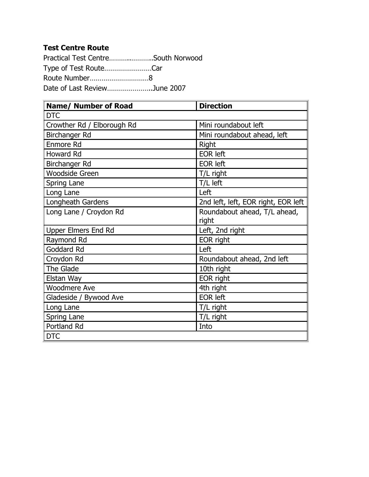Practical Test Centre………..………..South Norwood Type of Test Route……………………Car Route Number…………………………8 Date of Last Review…………………..June 2007

| <b>Name/ Number of Road</b> | <b>Direction</b>                    |
|-----------------------------|-------------------------------------|
| <b>DTC</b>                  |                                     |
| Crowther Rd / Elborough Rd  | Mini roundabout left                |
| Birchanger Rd               | Mini roundabout ahead, left         |
| Enmore Rd                   | <b>Right</b>                        |
| Howard Rd                   | <b>EOR left</b>                     |
| Birchanger Rd               | <b>EOR left</b>                     |
| <b>Woodside Green</b>       | T/L right                           |
| Spring Lane                 | T/L left                            |
| Long Lane                   | Left                                |
| Longheath Gardens           | 2nd left, left, EOR right, EOR left |
| Long Lane / Croydon Rd      | Roundabout ahead, T/L ahead,        |
|                             | right                               |
| <b>Upper Elmers End Rd</b>  | Left, 2nd right                     |
| Raymond Rd                  | EOR right                           |
| Goddard Rd                  | Left                                |
| Croydon Rd                  | Roundabout ahead, 2nd left          |
| The Glade                   | 10th right                          |
| Elstan Way                  | EOR right                           |
| <b>Woodmere Ave</b>         | 4th right                           |
| Gladeside / Bywood Ave      | <b>EOR left</b>                     |
| Long Lane                   | T/L right                           |
| Spring Lane                 | T/L right                           |
| Portland Rd                 | Into                                |
| <b>DTC</b>                  |                                     |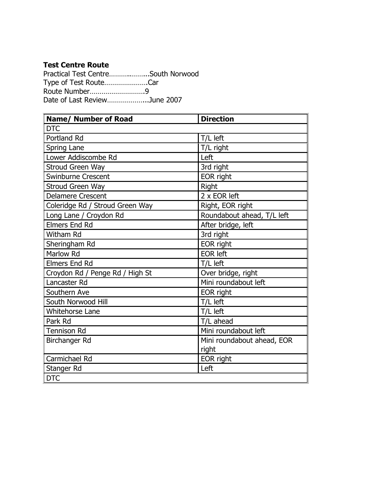Practical Test Centre…………………South Norwood Type of Test Route………………….Car Route Number……………………….9 Date of Last Review………………...June 2007

| <b>Name/ Number of Road</b>     | <b>Direction</b>           |
|---------------------------------|----------------------------|
| <b>DTC</b>                      |                            |
| Portland Rd                     | T/L left                   |
| Spring Lane                     | T/L right                  |
| Lower Addiscombe Rd             | Left                       |
| <b>Stroud Green Way</b>         | 3rd right                  |
| <b>Swinburne Crescent</b>       | EOR right                  |
| <b>Stroud Green Way</b>         | <b>Right</b>               |
| <b>Delamere Crescent</b>        | 2 x EOR left               |
| Coleridge Rd / Stroud Green Way | Right, EOR right           |
| Long Lane / Croydon Rd          | Roundabout ahead, T/L left |
| <b>Elmers End Rd</b>            | After bridge, left         |
| <b>Witham Rd</b>                | 3rd right                  |
| Sheringham Rd                   | EOR right                  |
| Marlow Rd                       | <b>EOR left</b>            |
| <b>Elmers End Rd</b>            | T/L left                   |
| Croydon Rd / Penge Rd / High St | Over bridge, right         |
| Lancaster Rd                    | Mini roundabout left       |
| Southern Ave                    | EOR right                  |
| South Norwood Hill              | T/L left                   |
| <b>Whitehorse Lane</b>          | T/L left                   |
| Park Rd                         | T/L ahead                  |
| <b>Tennison Rd</b>              | Mini roundabout left       |
| Birchanger Rd                   | Mini roundabout ahead, EOR |
|                                 | right                      |
| Carmichael Rd                   | EOR right                  |
| Stanger Rd                      | Left                       |
| <b>DTC</b>                      |                            |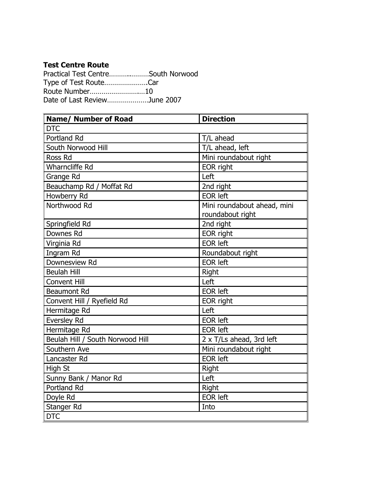Practical Test Centre………..………South Norwood Type of Test Route………………….Car Route Number…………………….…10 Date of Last Review…………………June 2007

| <b>Name/ Number of Road</b>      | <b>Direction</b>            |
|----------------------------------|-----------------------------|
| <b>DTC</b>                       |                             |
| Portland Rd                      | T/L ahead                   |
| South Norwood Hill               | T/L ahead, left             |
| Ross Rd                          | Mini roundabout right       |
| <b>Wharncliffe Rd</b>            | EOR right                   |
| Grange Rd                        | Left                        |
| Beauchamp Rd / Moffat Rd         | 2nd right                   |
| Howberry Rd                      | <b>EOR left</b>             |
| Northwood Rd                     | Mini roundabout ahead, mini |
|                                  | roundabout right            |
| Springfield Rd                   | 2nd right                   |
| Downes Rd                        | EOR right                   |
| Virginia Rd                      | <b>EOR left</b>             |
| Ingram Rd                        | Roundabout right            |
| Downesview Rd                    | <b>EOR left</b>             |
| <b>Beulah Hill</b>               | Right                       |
| <b>Convent Hill</b>              | Left                        |
| <b>Beaumont Rd</b>               | <b>EOR</b> left             |
| Convent Hill / Ryefield Rd       | EOR right                   |
| Hermitage Rd                     | Left                        |
| <b>Eversley Rd</b>               | <b>EOR</b> left             |
| Hermitage Rd                     | <b>EOR left</b>             |
| Beulah Hill / South Norwood Hill | 2 x T/Ls ahead, 3rd left    |
| Southern Ave                     | Mini roundabout right       |
| Lancaster Rd                     | <b>EOR left</b>             |
| High St                          | Right                       |
| Sunny Bank / Manor Rd            | Left                        |
| Portland Rd                      | Right                       |
| Doyle Rd                         | <b>EOR</b> left             |
| Stanger Rd                       | Into                        |
| <b>DTC</b>                       |                             |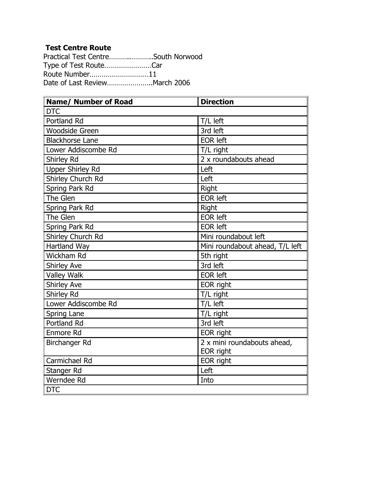Practical Test Centre………..………..South Norwood Type of Test Route……………………Car Route Number…………………………11 Date of Last Review…………………..March 2006

| <b>Name/ Number of Road</b> | <b>Direction</b>                |
|-----------------------------|---------------------------------|
| <b>DTC</b>                  |                                 |
| Portland Rd                 | T/L left                        |
| <b>Woodside Green</b>       | 3rd left                        |
| <b>Blackhorse Lane</b>      | <b>EOR left</b>                 |
| Lower Addiscombe Rd         | T/L right                       |
| Shirley Rd                  | 2 x roundabouts ahead           |
| <b>Upper Shirley Rd</b>     | Left                            |
| Shirley Church Rd           | Left                            |
| Spring Park Rd              | Right                           |
| The Glen                    | <b>EOR left</b>                 |
| Spring Park Rd              | Right                           |
| The Glen                    | <b>EOR left</b>                 |
| Spring Park Rd              | <b>EOR left</b>                 |
| Shirley Church Rd           | Mini roundabout left            |
| <b>Hartland Way</b>         | Mini roundabout ahead, T/L left |
| Wickham Rd                  | 5th right                       |
| <b>Shirley Ave</b>          | 3rd left                        |
| <b>Valley Walk</b>          | <b>EOR left</b>                 |
| <b>Shirley Ave</b>          | EOR right                       |
| Shirley Rd                  | T/L right                       |
| Lower Addiscombe Rd         | T/L left                        |
| Spring Lane                 | T/L right                       |
| Portland Rd                 | 3rd left                        |
| <b>Enmore Rd</b>            | EOR right                       |
| Birchanger Rd               | 2 x mini roundabouts ahead,     |
|                             | EOR right                       |
| Carmichael Rd               | EOR right                       |
| Stanger Rd                  | Left                            |
| Werndee Rd                  | Into                            |
| <b>DTC</b>                  |                                 |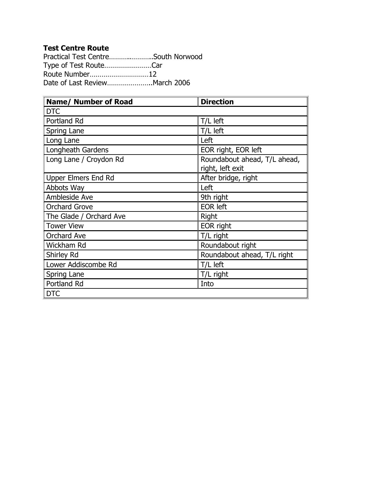Practical Test Centre………..………..South Norwood Type of Test Route……………………Car Route Number…………………………12 Date of Last Review…………………..March 2006

| <b>Name/ Number of Road</b> | <b>Direction</b>             |
|-----------------------------|------------------------------|
| <b>DTC</b>                  |                              |
| Portland Rd                 | T/L left                     |
| Spring Lane                 | T/L left                     |
| Long Lane                   | Left                         |
| Longheath Gardens           | EOR right, EOR left          |
| Long Lane / Croydon Rd      | Roundabout ahead, T/L ahead, |
|                             | right, left exit             |
| <b>Upper Elmers End Rd</b>  | After bridge, right          |
| Abbots Way                  | Left                         |
| Ambleside Ave               | 9th right                    |
| <b>Orchard Grove</b>        | <b>EOR left</b>              |
| The Glade / Orchard Ave     | Right                        |
| <b>Tower View</b>           | EOR right                    |
| <b>Orchard Ave</b>          | T/L right                    |
| Wickham Rd                  | Roundabout right             |
| Shirley Rd                  | Roundabout ahead, T/L right  |
| Lower Addiscombe Rd         | T/L left                     |
| Spring Lane                 | T/L right                    |
| Portland Rd                 | Into                         |
| <b>DTC</b>                  |                              |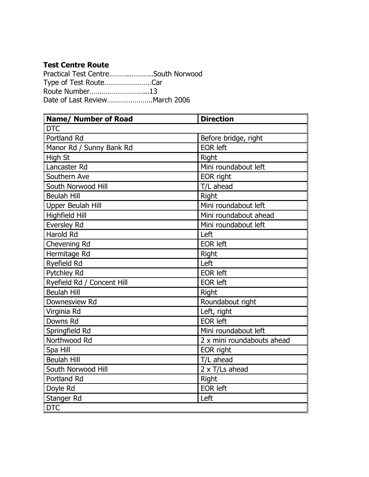Practical Test Centre………..………..South Norwood Type of Test Route……………………Car Route Number………………………...13 Date of Last Review…………………..March 2006

| <b>Name/ Number of Road</b> | <b>Direction</b>           |
|-----------------------------|----------------------------|
| <b>DTC</b>                  |                            |
| Portland Rd                 | Before bridge, right       |
| Manor Rd / Sunny Bank Rd    | <b>EOR left</b>            |
| High St                     | Right                      |
| Lancaster Rd                | Mini roundabout left       |
| Southern Ave                | EOR right                  |
| South Norwood Hill          | T/L ahead                  |
| <b>Beulah Hill</b>          | Right                      |
| Upper Beulah Hill           | Mini roundabout left       |
| <b>Highfield Hill</b>       | Mini roundabout ahead      |
| <b>Eversley Rd</b>          | Mini roundabout left       |
| <b>Harold Rd</b>            | Left                       |
| Chevening Rd                | <b>EOR left</b>            |
| Hermitage Rd                | Right                      |
| Ryefield Rd                 | Left                       |
| Pytchley Rd                 | <b>EOR left</b>            |
| Ryefield Rd / Concent Hill  | <b>EOR left</b>            |
| <b>Beulah Hill</b>          | Right                      |
| Downesview Rd               | Roundabout right           |
| Virginia Rd                 | Left, right                |
| Downs Rd                    | <b>EOR left</b>            |
| Springfield Rd              | Mini roundabout left       |
| Northwood Rd                | 2 x mini roundabouts ahead |
| Spa Hill                    | EOR right                  |
| <b>Beulah Hill</b>          | T/L ahead                  |
| South Norwood Hill          | 2 x T/Ls ahead             |
| Portland Rd                 | Right                      |
| Doyle Rd                    | <b>EOR left</b>            |
| Stanger Rd                  | Left                       |
| <b>DTC</b>                  |                            |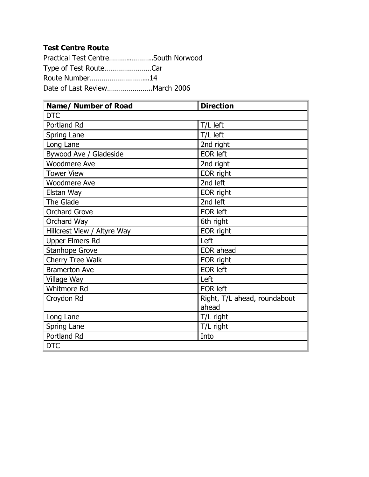Practical Test Centre………..………..South Norwood Type of Test Route……………………Car Route Number………………………...14 Date of Last Review…………………..March 2006

| <b>Name/ Number of Road</b> | <b>Direction</b>             |
|-----------------------------|------------------------------|
| <b>DTC</b>                  |                              |
| Portland Rd                 | T/L left                     |
| Spring Lane                 | T/L left                     |
| Long Lane                   | 2nd right                    |
| Bywood Ave / Gladeside      | <b>EOR left</b>              |
| <b>Woodmere Ave</b>         | 2nd right                    |
| <b>Tower View</b>           | EOR right                    |
| <b>Woodmere Ave</b>         | 2nd left                     |
| Elstan Way                  | EOR right                    |
| The Glade                   | 2nd left                     |
| <b>Orchard Grove</b>        | <b>EOR left</b>              |
| Orchard Way                 | 6th right                    |
| Hillcrest View / Altyre Way | EOR right                    |
| <b>Upper Elmers Rd</b>      | Left                         |
| Stanhope Grove              | EOR ahead                    |
| Cherry Tree Walk            | <b>EOR</b> right             |
| <b>Bramerton Ave</b>        | <b>EOR left</b>              |
| Village Way                 | Left                         |
| Whitmore Rd                 | <b>EOR left</b>              |
| Croydon Rd                  | Right, T/L ahead, roundabout |
|                             | ahead                        |
| Long Lane                   | T/L right                    |
| Spring Lane                 | T/L right                    |
| Portland Rd                 | Into                         |
| <b>DTC</b>                  |                              |